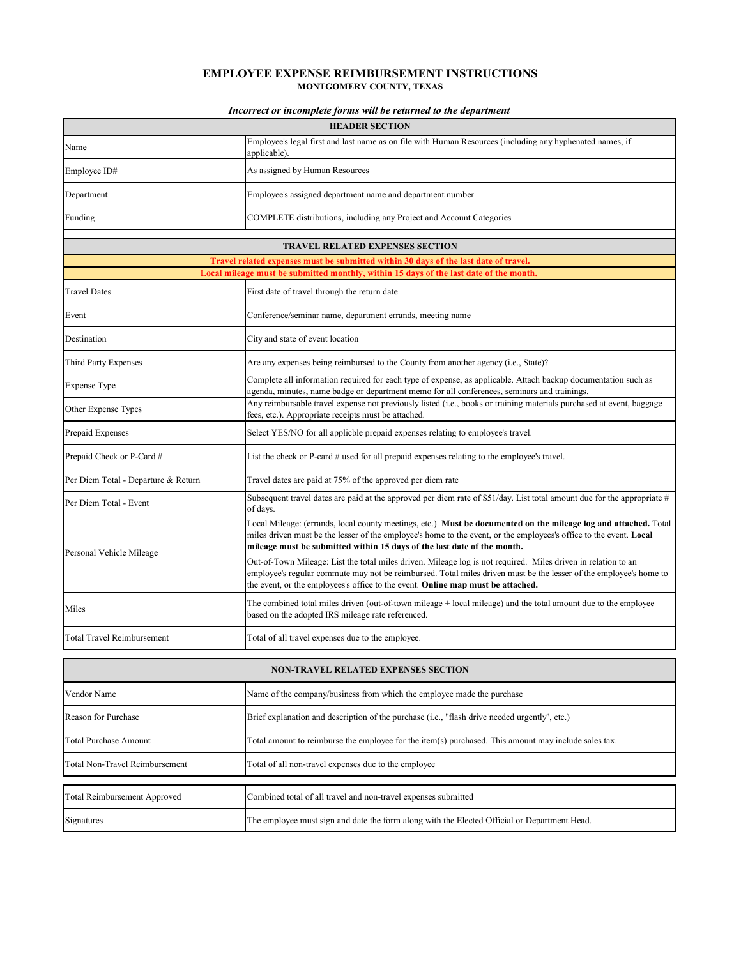## **EMPLOYEE EXPENSE REIMBURSEMENT INSTRUCTIONS MONTGOMERY COUNTY, TEXAS**

## *Incorrect or incomplete forms will be returned to the department*

|                                     | cei or incompiete jorms was oc retained to the de                                                                                                                                                                                                                                                                     |
|-------------------------------------|-----------------------------------------------------------------------------------------------------------------------------------------------------------------------------------------------------------------------------------------------------------------------------------------------------------------------|
|                                     | <b>HEADER SECTION</b>                                                                                                                                                                                                                                                                                                 |
| Name                                | Employee's legal first and last name as on file with Human Resources (including any hyphenated names, if<br>applicable).                                                                                                                                                                                              |
| Employee ID#                        | As assigned by Human Resources                                                                                                                                                                                                                                                                                        |
| Department                          | Employee's assigned department name and department number                                                                                                                                                                                                                                                             |
| Funding                             | COMPLETE distributions, including any Project and Account Categories                                                                                                                                                                                                                                                  |
|                                     | <b>TRAVEL RELATED EXPENSES SECTION</b>                                                                                                                                                                                                                                                                                |
|                                     | Travel related expenses must be submitted within 30 days of the last date of travel.                                                                                                                                                                                                                                  |
|                                     | Local mileage must be submitted monthly, within 15 days of the last date of the month.                                                                                                                                                                                                                                |
| <b>Travel Dates</b>                 | First date of travel through the return date                                                                                                                                                                                                                                                                          |
| Event                               | Conference/seminar name, department errands, meeting name                                                                                                                                                                                                                                                             |
| Destination                         | City and state of event location                                                                                                                                                                                                                                                                                      |
| Third Party Expenses                | Are any expenses being reimbursed to the County from another agency (i.e., State)?                                                                                                                                                                                                                                    |
| Expense Type                        | Complete all information required for each type of expense, as applicable. Attach backup documentation such as<br>agenda, minutes, name badge or department memo for all conferences, seminars and trainings.                                                                                                         |
| Other Expense Types                 | Any reimbursable travel expense not previously listed (i.e., books or training materials purchased at event, baggage<br>fees, etc.). Appropriate receipts must be attached.                                                                                                                                           |
| Prepaid Expenses                    | Select YES/NO for all applicble prepaid expenses relating to employee's travel.                                                                                                                                                                                                                                       |
| Prepaid Check or P-Card #           | List the check or P-card # used for all prepaid expenses relating to the employee's travel.                                                                                                                                                                                                                           |
| Per Diem Total - Departure & Return | Travel dates are paid at 75% of the approved per diem rate                                                                                                                                                                                                                                                            |
| Per Diem Total - Event              | Subsequent travel dates are paid at the approved per diem rate of \$51/day. List total amount due for the appropriate #<br>of days.                                                                                                                                                                                   |
|                                     | Local Mileage: (errands, local county meetings, etc.). Must be documented on the mileage log and attached. Total<br>miles driven must be the lesser of the employee's home to the event, or the employees's office to the event. Local<br>mileage must be submitted within 15 days of the last date of the month.     |
| Personal Vehicle Mileage            | Out-of-Town Mileage: List the total miles driven. Mileage log is not required. Miles driven in relation to an<br>employee's regular commute may not be reimbursed. Total miles driven must be the lesser of the employee's home to<br>the event, or the employees's office to the event. Online map must be attached. |
| Miles                               | The combined total miles driven (out-of-town mileage + local mileage) and the total amount due to the employee<br>based on the adopted IRS mileage rate referenced.                                                                                                                                                   |
| <b>Total Travel Reimbursement</b>   | Total of all travel expenses due to the employee.                                                                                                                                                                                                                                                                     |
|                                     | <b>NON-TRAVEL RELATED EXPENSES SECTION</b>                                                                                                                                                                                                                                                                            |
| Vendor Name                         | Name of the company/business from which the employee made the purchase                                                                                                                                                                                                                                                |
| Reason for Purchase                 | Brief explanation and description of the purchase (i.e., "flash drive needed urgently", etc.)                                                                                                                                                                                                                         |
| Total Purchase Amount               | Total amount to reimburse the employee for the item(s) purchased. This amount may include sales tax.                                                                                                                                                                                                                  |
| Total Non-Travel Reimbursement      | Total of all non-travel expenses due to the employee                                                                                                                                                                                                                                                                  |
|                                     |                                                                                                                                                                                                                                                                                                                       |
| Total Reimbursement Approved        | Combined total of all travel and non-travel expenses submitted                                                                                                                                                                                                                                                        |
| Signatures                          | The employee must sign and date the form along with the Elected Official or Department Head.                                                                                                                                                                                                                          |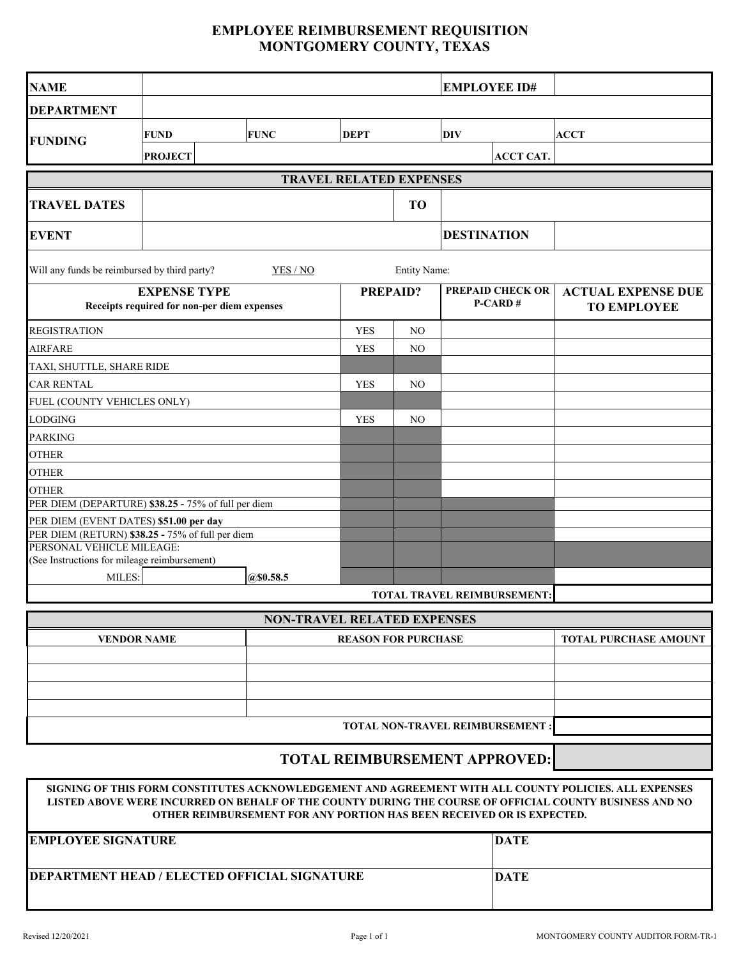## **EMPLOYEE REIMBURSEMENT REQUISITION MONTGOMERY COUNTY, TEXAS**

| <b>NAME</b>                                                                   |                |                                    |             |                | <b>EMPLOYEE ID#</b>                |                                                 |  |  |  |  |
|-------------------------------------------------------------------------------|----------------|------------------------------------|-------------|----------------|------------------------------------|-------------------------------------------------|--|--|--|--|
| <b>DEPARTMENT</b>                                                             |                |                                    |             |                |                                    |                                                 |  |  |  |  |
|                                                                               | <b>FUND</b>    | <b>FUNC</b>                        | <b>DEPT</b> | <b>DIV</b>     | <b>ACCT</b>                        |                                                 |  |  |  |  |
| <b>FUNDING</b>                                                                | <b>PROJECT</b> |                                    |             |                | <b>ACCT CAT.</b>                   |                                                 |  |  |  |  |
|                                                                               |                |                                    |             |                |                                    |                                                 |  |  |  |  |
| <b>TRAVEL RELATED EXPENSES</b>                                                |                |                                    |             |                |                                    |                                                 |  |  |  |  |
| <b>TRAVEL DATES</b>                                                           |                |                                    |             | <b>TO</b>      |                                    |                                                 |  |  |  |  |
| <b>EVENT</b>                                                                  |                |                                    |             |                | <b>DESTINATION</b>                 |                                                 |  |  |  |  |
| Will any funds be reimbursed by third party?                                  |                | YES / NO                           |             | Entity Name:   |                                    |                                                 |  |  |  |  |
| <b>EXPENSE TYPE</b><br>Receipts required for non-per diem expenses            |                |                                    |             | PREPAID?       | <b>PREPAID CHECK OR</b><br>P-CARD# | <b>ACTUAL EXPENSE DUE</b><br><b>TO EMPLOYEE</b> |  |  |  |  |
| <b>REGISTRATION</b>                                                           |                |                                    | <b>YES</b>  | NO             |                                    |                                                 |  |  |  |  |
| <b>AIRFARE</b>                                                                |                |                                    | <b>YES</b>  | NO             |                                    |                                                 |  |  |  |  |
| TAXI, SHUTTLE, SHARE RIDE                                                     |                |                                    |             |                |                                    |                                                 |  |  |  |  |
| <b>CAR RENTAL</b>                                                             |                |                                    |             | N <sub>O</sub> |                                    |                                                 |  |  |  |  |
| FUEL (COUNTY VEHICLES ONLY)                                                   |                |                                    |             |                |                                    |                                                 |  |  |  |  |
| <b>LODGING</b>                                                                |                |                                    | <b>YES</b>  | NO             |                                    |                                                 |  |  |  |  |
| <b>PARKING</b>                                                                |                |                                    |             |                |                                    |                                                 |  |  |  |  |
| <b>OTHER</b>                                                                  |                |                                    |             |                |                                    |                                                 |  |  |  |  |
| <b>OTHER</b>                                                                  |                |                                    |             |                |                                    |                                                 |  |  |  |  |
| <b>OTHER</b>                                                                  |                |                                    |             |                |                                    |                                                 |  |  |  |  |
| PER DIEM (DEPARTURE) \$38.25 - 75% of full per diem                           |                |                                    |             |                |                                    |                                                 |  |  |  |  |
| PER DIEM (EVENT DATES) \$51.00 per day                                        |                |                                    |             |                |                                    |                                                 |  |  |  |  |
| PER DIEM (RETURN) \$38.25 - 75% of full per diem<br>PERSONAL VEHICLE MILEAGE: |                |                                    |             |                |                                    |                                                 |  |  |  |  |
| (See Instructions for mileage reimbursement)                                  |                |                                    |             |                |                                    |                                                 |  |  |  |  |
| @\$0.58.5<br>MILES:                                                           |                |                                    |             |                |                                    |                                                 |  |  |  |  |
|                                                                               |                |                                    |             |                | TOTAL TRAVEL REIMBURSEMENT:        |                                                 |  |  |  |  |
|                                                                               |                | <b>NON-TRAVEL RELATED EXPENSES</b> |             |                |                                    |                                                 |  |  |  |  |
| <b>VENDOR NAME</b>                                                            |                | <b>TOTAL PURCHASE AMOUNT</b>       |             |                |                                    |                                                 |  |  |  |  |
|                                                                               |                |                                    |             |                |                                    |                                                 |  |  |  |  |
|                                                                               |                |                                    |             |                |                                    |                                                 |  |  |  |  |
|                                                                               |                |                                    |             |                |                                    |                                                 |  |  |  |  |
|                                                                               |                |                                    |             |                |                                    |                                                 |  |  |  |  |
|                                                                               |                |                                    |             |                |                                    |                                                 |  |  |  |  |
|                                                                               |                |                                    |             |                |                                    |                                                 |  |  |  |  |

## **TOTAL REIMBURSEMENT APPROVED:**

**SIGNING OF THIS FORM CONSTITUTES ACKNOWLEDGEMENT AND AGREEMENT WITH ALL COUNTY POLICIES. ALL EXPENSES LISTED ABOVE WERE INCURRED ON BEHALF OF THE COUNTY DURING THE COURSE OF OFFICIAL COUNTY BUSINESS AND NO OTHER REIMBURSEMENT FOR ANY PORTION HAS BEEN RECEIVED OR IS EXPECTED.**

| <b>IEMPLOYEE SIGNATURE</b>                           | DATE |
|------------------------------------------------------|------|
| <b>IDEPARTMENT HEAD / ELECTED OFFICIAL SIGNATURE</b> | DATE |